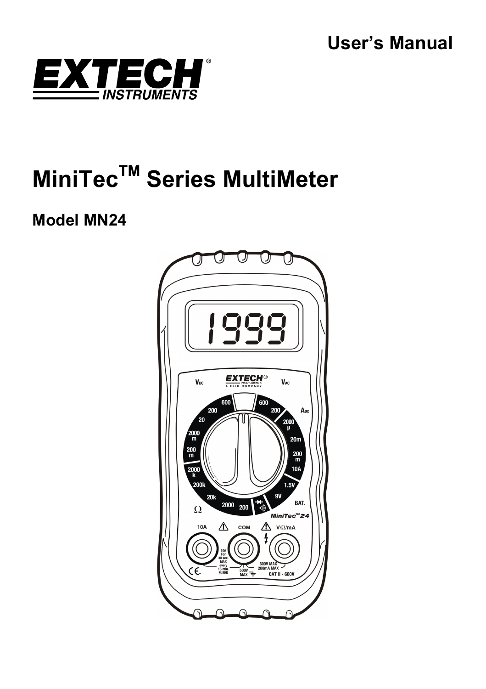

# **MiniTecTM Series MultiMeter**

# **Model MN24**

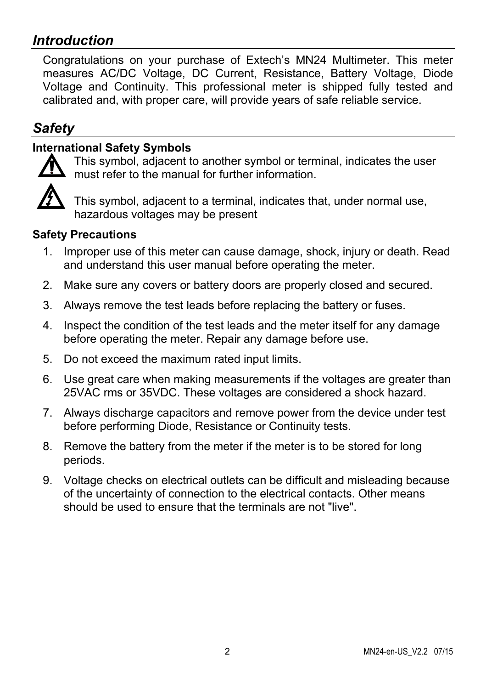## *Introduction*

Congratulations on your purchase of Extech's MN24 Multimeter. This meter measures AC/DC Voltage, DC Current, Resistance, Battery Voltage, Diode Voltage and Continuity. This professional meter is shipped fully tested and calibrated and, with proper care, will provide years of safe reliable service.

# *Safety*

## **International Safety Symbols**



This symbol, adjacent to another symbol or terminal, indicates the user must refer to the manual for further information.

This symbol, adjacent to a terminal, indicates that, under normal use, hazardous voltages may be present

#### **Safety Precautions**

- 1. Improper use of this meter can cause damage, shock, injury or death. Read and understand this user manual before operating the meter.
- 2. Make sure any covers or battery doors are properly closed and secured.
- 3. Always remove the test leads before replacing the battery or fuses.
- 4. Inspect the condition of the test leads and the meter itself for any damage before operating the meter. Repair any damage before use.
- 5. Do not exceed the maximum rated input limits.
- 6. Use great care when making measurements if the voltages are greater than 25VAC rms or 35VDC. These voltages are considered a shock hazard.
- 7. Always discharge capacitors and remove power from the device under test before performing Diode, Resistance or Continuity tests.
- 8. Remove the battery from the meter if the meter is to be stored for long periods.
- 9. Voltage checks on electrical outlets can be difficult and misleading because of the uncertainty of connection to the electrical contacts. Other means should be used to ensure that the terminals are not "live".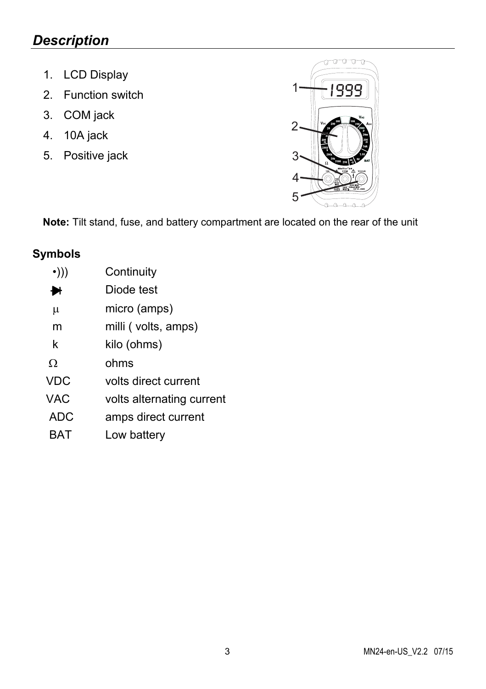## *Description*

- 1. LCD Display
- 2. Function switch
- 3. COM jack
- 4. 10A jack
- 5. Positive jack



**Note:** Tilt stand, fuse, and battery compartment are located on the rear of the unit

## **Symbols**

| Continuity                |
|---------------------------|
| Diode test                |
| micro (amps)              |
| milli (volts, amps)       |
| kilo (ohms)               |
| ohms                      |
| volts direct current      |
| volts alternating current |
| amps direct current       |
| Low battery               |
|                           |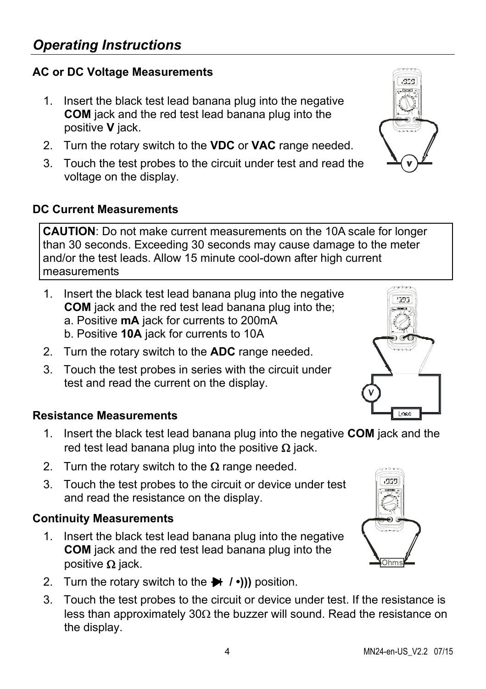## **AC or DC Voltage Measurements**

- 1. Insert the black test lead banana plug into the negative **COM** jack and the red test lead banana plug into the positive **V** jack.
- 2. Turn the rotary switch to the **VDC** or **VAC** range needed.
- 3. Touch the test probes to the circuit under test and read the voltage on the display.

#### **DC Current Measurements**

**CAUTION**: Do not make current measurements on the 10A scale for longer than 30 seconds. Exceeding 30 seconds may cause damage to the meter and/or the test leads. Allow 15 minute cool-down after high current measurements

- 1. Insert the black test lead banana plug into the negative **COM** jack and the red test lead banana plug into the; a. Positive **mA** jack for currents to 200mA b. Positive **10A** jack for currents to 10A
- 2. Turn the rotary switch to the **ADC** range needed.
- 3. Touch the test probes in series with the circuit under test and read the current on the display.

#### **Resistance Measurements**

- 1. Insert the black test lead banana plug into the negative **COM** jack and the red test lead banana plug into the positive  $\Omega$  jack.
- 2. Turn the rotary switch to the  $\Omega$  range needed.
- 3. Touch the test probes to the circuit or device under test and read the resistance on the display.

#### **Continuity Measurements**

- 1. Insert the black test lead banana plug into the negative **COM** jack and the red test lead banana plug into the positive  $\Omega$  jack.
- 2. Turn the rotary switch to the **/ •)))** position.
- 3. Touch the test probes to the circuit or device under test. If the resistance is less than approximately 30 $\Omega$  the buzzer will sound. Read the resistance on the display.



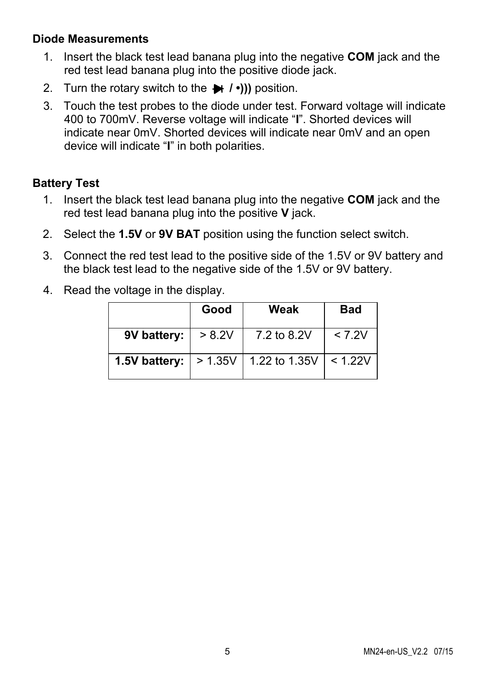#### **Diode Measurements**

- 1. Insert the black test lead banana plug into the negative **COM** jack and the red test lead banana plug into the positive diode jack.
- 2. Turn the rotary switch to the  $\rightarrow$   $\rightarrow$   $\rightarrow$   $\rightarrow$ ))) position.
- 3. Touch the test probes to the diode under test. Forward voltage will indicate 400 to 700mV. Reverse voltage will indicate "**I**". Shorted devices will indicate near 0mV. Shorted devices will indicate near 0mV and an open device will indicate "**I**" in both polarities.

#### **Battery Test**

- 1. Insert the black test lead banana plug into the negative **COM** jack and the red test lead banana plug into the positive **V** jack.
- 2. Select the **1.5V** or **9V BAT** position using the function select switch.
- 3. Connect the red test lead to the positive side of the 1.5V or 9V battery and the black test lead to the negative side of the 1.5V or 9V battery.
- 4. Read the voltage in the display.

|               | Good            | Weak          | <b>Bad</b> |
|---------------|-----------------|---------------|------------|
| 9V battery:   | > 8.2V          | 7.2 to 8.2V   | < 7.2V     |
| 1.5V battery: | $\vert$ > 1.35V | 1.22 to 1.35V | < 1.22V    |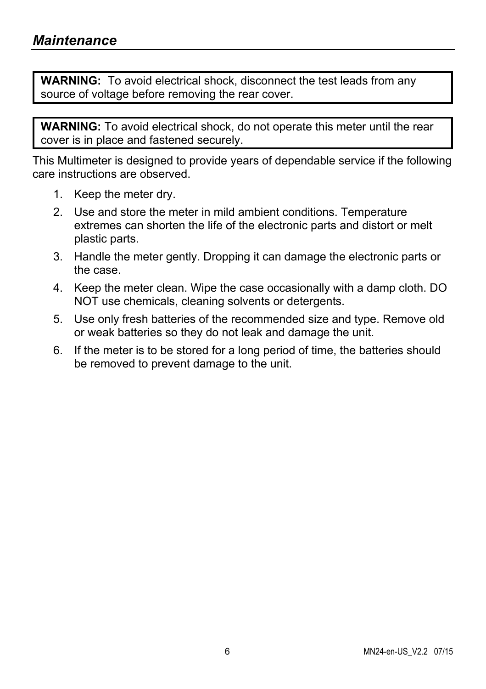**WARNING:** To avoid electrical shock, disconnect the test leads from any source of voltage before removing the rear cover.

**WARNING:** To avoid electrical shock, do not operate this meter until the rear cover is in place and fastened securely.

This Multimeter is designed to provide years of dependable service if the following care instructions are observed.

- 1. Keep the meter dry.
- 2. Use and store the meter in mild ambient conditions. Temperature extremes can shorten the life of the electronic parts and distort or melt plastic parts.
- 3. Handle the meter gently. Dropping it can damage the electronic parts or the case.
- 4. Keep the meter clean. Wipe the case occasionally with a damp cloth. DO NOT use chemicals, cleaning solvents or detergents.
- 5. Use only fresh batteries of the recommended size and type. Remove old or weak batteries so they do not leak and damage the unit.
- 6. If the meter is to be stored for a long period of time, the batteries should be removed to prevent damage to the unit.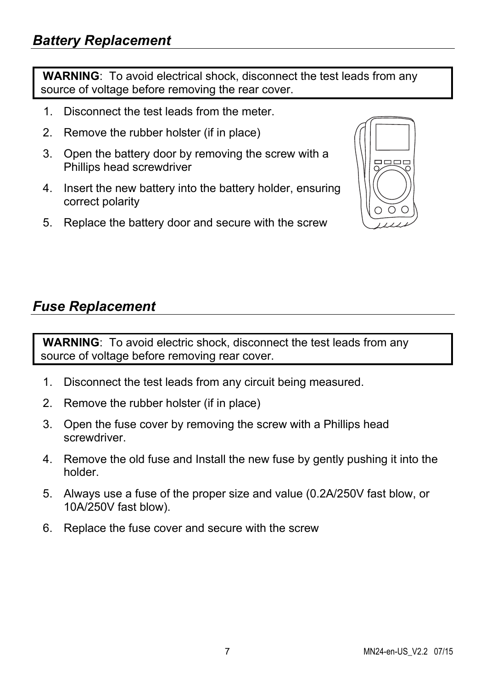**WARNING**: To avoid electrical shock, disconnect the test leads from any source of voltage before removing the rear cover.

- 1. Disconnect the test leads from the meter.
- 2. Remove the rubber holster (if in place)
- 3. Open the battery door by removing the screw with a Phillips head screwdriver
- 4. Insert the new battery into the battery holder, ensuring correct polarity
- 5. Replace the battery door and secure with the screw



## *Fuse Replacement*

**WARNING**: To avoid electric shock, disconnect the test leads from any source of voltage before removing rear cover.

- 1. Disconnect the test leads from any circuit being measured.
- 2. Remove the rubber holster (if in place)
- 3. Open the fuse cover by removing the screw with a Phillips head screwdriver.
- 4. Remove the old fuse and Install the new fuse by gently pushing it into the holder.
- 5. Always use a fuse of the proper size and value (0.2A/250V fast blow, or 10A/250V fast blow).
- 6. Replace the fuse cover and secure with the screw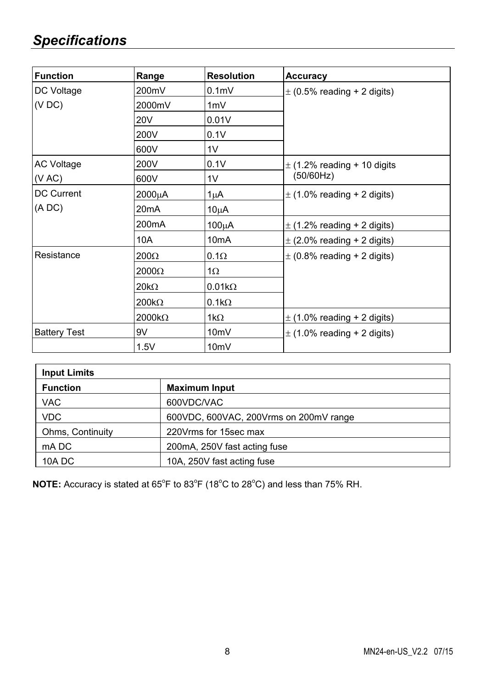# *Specifications*

| <b>Function</b>            | Range              | <b>Resolution</b> | <b>Accuracy</b>                 |
|----------------------------|--------------------|-------------------|---------------------------------|
| DC Voltage                 | 200mV              | 0.1 <sub>m</sub>  | $\pm$ (0.5% reading + 2 digits) |
| (VDC)                      | 2000mV             | 1mV               |                                 |
|                            | 20V                | 0.01V             |                                 |
|                            | 200V               | 0.1V              |                                 |
|                            | 600V               | 1V                |                                 |
| <b>AC Voltage</b>          | 200V               | 0.1V              | $\pm$ (1.2% reading + 10 digits |
| (VAC)<br>600V              | 1V                 | (50/60Hz)         |                                 |
| <b>DC Current</b><br>(ADC) | $2000\mu$ A        | $1\mu$ A          | $\pm$ (1.0% reading + 2 digits) |
|                            | 20 <sub>m</sub> A  | $10\mu$ A         |                                 |
|                            | 200 <sub>m</sub> A | $100\mu A$        | $\pm$ (1.2% reading + 2 digits) |
|                            | 10A                | 10 <sub>m</sub> A | $\pm$ (2.0% reading + 2 digits) |
| Resistance                 | $200\Omega$        | $0.1\Omega$       | $\pm$ (0.8% reading + 2 digits) |
|                            | $2000\Omega$       | 1 $\Omega$        |                                 |
|                            | $20k\Omega$        | $0.01k\Omega$     |                                 |
|                            | $200k\Omega$       | $0.1k\Omega$      |                                 |
|                            | $2000k\Omega$      | 1k $\Omega$       | $\pm$ (1.0% reading + 2 digits) |
| <b>Battery Test</b>        | 9V                 | 10 <sub>m</sub> V | $\pm$ (1.0% reading + 2 digits) |
|                            | 1.5V               | 10 <sub>m</sub> V |                                 |

| <b>Input Limits</b> |                                        |  |  |  |
|---------------------|----------------------------------------|--|--|--|
| <b>Function</b>     | <b>Maximum Input</b>                   |  |  |  |
| <b>VAC</b>          | 600VDC/VAC                             |  |  |  |
| <b>VDC</b>          | 600VDC, 600VAC, 200Vrms on 200mV range |  |  |  |
| Ohms, Continuity    | 220 Vrms for 15 sec max                |  |  |  |
| mA DC               | 200mA, 250V fast acting fuse           |  |  |  |
| 10A DC              | 10A, 250V fast acting fuse             |  |  |  |

**NOTE:** Accuracy is stated at 65°F to 83°F (18°C to 28°C) and less than 75% RH.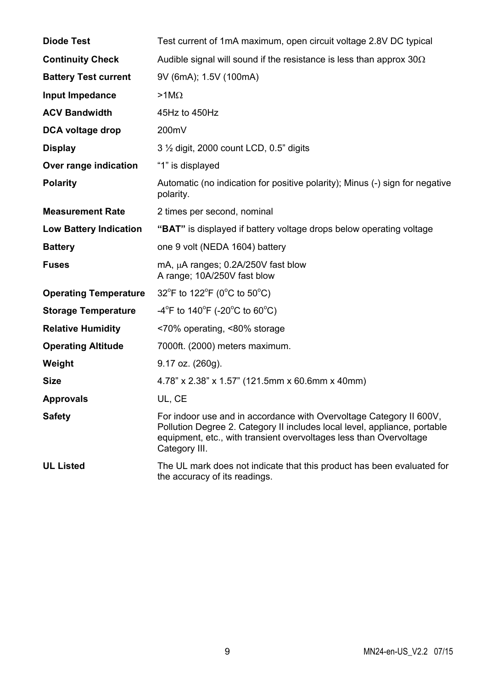| <b>Diode Test</b>             | Test current of 1mA maximum, open circuit voltage 2.8V DC typical                                                                                                                                                                       |
|-------------------------------|-----------------------------------------------------------------------------------------------------------------------------------------------------------------------------------------------------------------------------------------|
| <b>Continuity Check</b>       | Audible signal will sound if the resistance is less than approx $30\Omega$                                                                                                                                                              |
| <b>Battery Test current</b>   | 9V (6mA); 1.5V (100mA)                                                                                                                                                                                                                  |
| Input Impedance               | $>1$ M $\Omega$                                                                                                                                                                                                                         |
| <b>ACV Bandwidth</b>          | 45Hz to 450Hz                                                                                                                                                                                                                           |
| DCA voltage drop              | 200mV                                                                                                                                                                                                                                   |
| <b>Display</b>                | 3 1/2 digit, 2000 count LCD, 0.5" digits                                                                                                                                                                                                |
| Over range indication         | "1" is displayed                                                                                                                                                                                                                        |
| <b>Polarity</b>               | Automatic (no indication for positive polarity); Minus (-) sign for negative<br>polarity.                                                                                                                                               |
| <b>Measurement Rate</b>       | 2 times per second, nominal                                                                                                                                                                                                             |
| <b>Low Battery Indication</b> | "BAT" is displayed if battery voltage drops below operating voltage                                                                                                                                                                     |
| <b>Battery</b>                | one 9 volt (NEDA 1604) battery                                                                                                                                                                                                          |
| <b>Fuses</b>                  | mA, µA ranges: 0.2A/250V fast blow<br>A range; 10A/250V fast blow                                                                                                                                                                       |
| <b>Operating Temperature</b>  | 32°F to 122°F (0°C to 50°C)                                                                                                                                                                                                             |
| <b>Storage Temperature</b>    | -4 <sup>o</sup> F to 140 <sup>o</sup> F (-20 <sup>o</sup> C to 60 <sup>o</sup> C)                                                                                                                                                       |
| <b>Relative Humidity</b>      | <70% operating, <80% storage                                                                                                                                                                                                            |
| <b>Operating Altitude</b>     | 7000ft. (2000) meters maximum.                                                                                                                                                                                                          |
| Weight                        | 9.17 oz. (260g).                                                                                                                                                                                                                        |
| Size                          | 4.78" x 2.38" x 1.57" (121.5mm x 60.6mm x 40mm)                                                                                                                                                                                         |
| <b>Approvals</b>              | UL, CE                                                                                                                                                                                                                                  |
| <b>Safety</b>                 | For indoor use and in accordance with Overvoltage Category II 600V,<br>Pollution Degree 2. Category II includes local level, appliance, portable<br>equipment, etc., with transient overvoltages less than Overvoltage<br>Category III. |
| <b>UL Listed</b>              | The UL mark does not indicate that this product has been evaluated for<br>the accuracy of its readings.                                                                                                                                 |